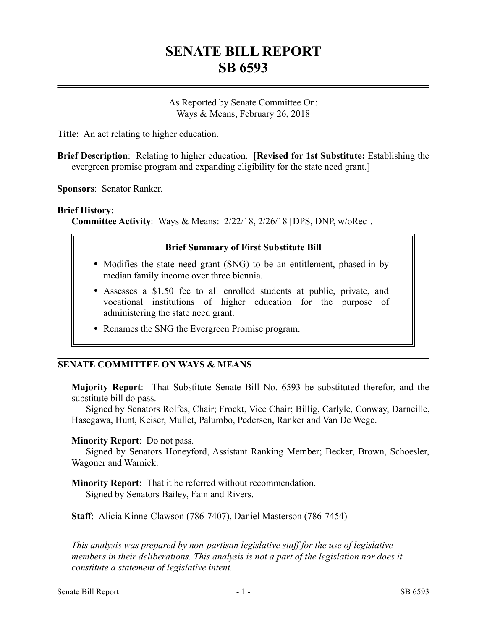# **SENATE BILL REPORT SB 6593**

As Reported by Senate Committee On: Ways & Means, February 26, 2018

**Title**: An act relating to higher education.

**Brief Description**: Relating to higher education. [**Revised for 1st Substitute:** Establishing the evergreen promise program and expanding eligibility for the state need grant.]

**Sponsors**: Senator Ranker.

#### **Brief History:**

**Committee Activity**: Ways & Means: 2/22/18, 2/26/18 [DPS, DNP, w/oRec].

### **Brief Summary of First Substitute Bill**

- Modifies the state need grant (SNG) to be an entitlement, phased-in by median family income over three biennia.
- Assesses a \$1.50 fee to all enrolled students at public, private, and vocational institutions of higher education for the purpose of administering the state need grant.
- Renames the SNG the Evergreen Promise program.

## **SENATE COMMITTEE ON WAYS & MEANS**

**Majority Report**: That Substitute Senate Bill No. 6593 be substituted therefor, and the substitute bill do pass.

Signed by Senators Rolfes, Chair; Frockt, Vice Chair; Billig, Carlyle, Conway, Darneille, Hasegawa, Hunt, Keiser, Mullet, Palumbo, Pedersen, Ranker and Van De Wege.

#### **Minority Report**: Do not pass.

Signed by Senators Honeyford, Assistant Ranking Member; Becker, Brown, Schoesler, Wagoner and Warnick.

**Minority Report**: That it be referred without recommendation. Signed by Senators Bailey, Fain and Rivers.

**Staff**: Alicia Kinne-Clawson (786-7407), Daniel Masterson (786-7454)

*This analysis was prepared by non-partisan legislative staff for the use of legislative members in their deliberations. This analysis is not a part of the legislation nor does it constitute a statement of legislative intent.*

––––––––––––––––––––––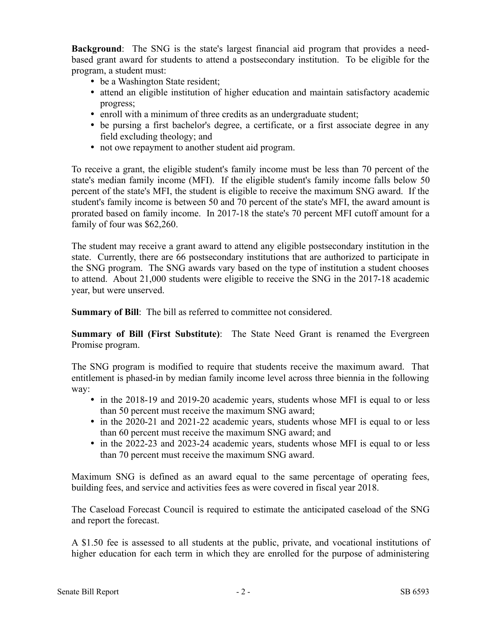**Background**: The SNG is the state's largest financial aid program that provides a needbased grant award for students to attend a postsecondary institution. To be eligible for the program, a student must:

- be a Washington State resident;
- attend an eligible institution of higher education and maintain satisfactory academic progress;
- enroll with a minimum of three credits as an undergraduate student;
- be pursing a first bachelor's degree, a certificate, or a first associate degree in any field excluding theology; and
- not owe repayment to another student aid program.

To receive a grant, the eligible student's family income must be less than 70 percent of the state's median family income (MFI). If the eligible student's family income falls below 50 percent of the state's MFI, the student is eligible to receive the maximum SNG award. If the student's family income is between 50 and 70 percent of the state's MFI, the award amount is prorated based on family income. In 2017-18 the state's 70 percent MFI cutoff amount for a family of four was \$62,260.

The student may receive a grant award to attend any eligible postsecondary institution in the state. Currently, there are 66 postsecondary institutions that are authorized to participate in the SNG program. The SNG awards vary based on the type of institution a student chooses to attend. About 21,000 students were eligible to receive the SNG in the 2017-18 academic year, but were unserved.

**Summary of Bill**: The bill as referred to committee not considered.

**Summary of Bill (First Substitute)**: The State Need Grant is renamed the Evergreen Promise program.

The SNG program is modified to require that students receive the maximum award. That entitlement is phased-in by median family income level across three biennia in the following way:

- in the 2018-19 and 2019-20 academic years, students whose MFI is equal to or less than 50 percent must receive the maximum SNG award;
- in the 2020-21 and 2021-22 academic years, students whose MFI is equal to or less than 60 percent must receive the maximum SNG award; and
- in the 2022-23 and 2023-24 academic years, students whose MFI is equal to or less than 70 percent must receive the maximum SNG award.

Maximum SNG is defined as an award equal to the same percentage of operating fees, building fees, and service and activities fees as were covered in fiscal year 2018.

The Caseload Forecast Council is required to estimate the anticipated caseload of the SNG and report the forecast.

A \$1.50 fee is assessed to all students at the public, private, and vocational institutions of higher education for each term in which they are enrolled for the purpose of administering